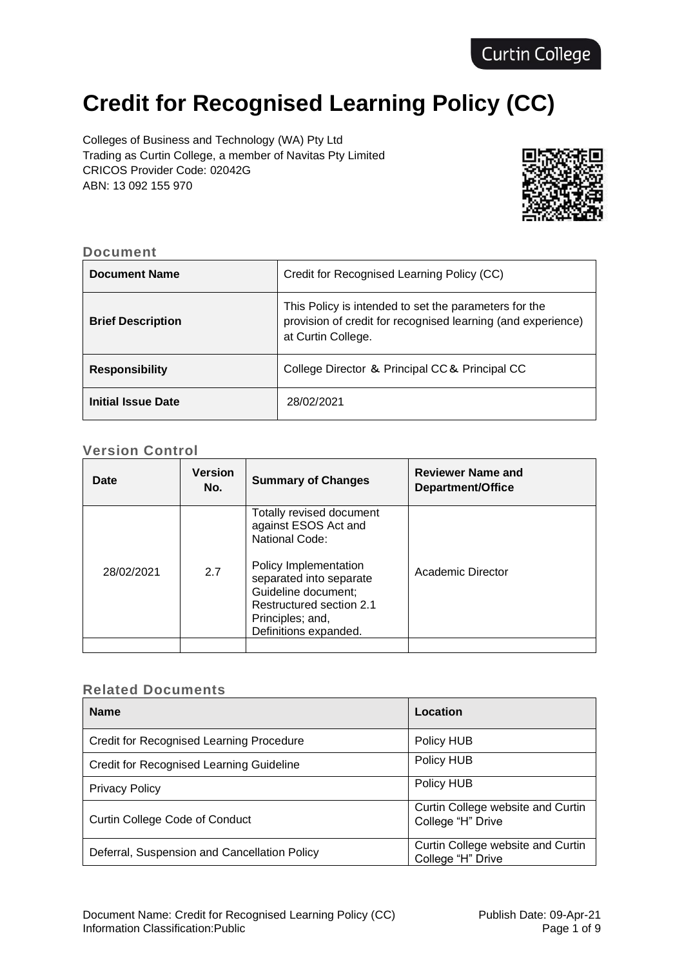# **Credit for Recognised Learning Policy (CC)**

Colleges of Business and Technology (WA) Pty Ltd Trading as Curtin College, a member of Navitas Pty Limited CRICOS Provider Code: 02042G ABN: 13 092 155 970



#### **Document**

| <b>Document Name</b>      | Credit for Recognised Learning Policy (CC)                                                                                                  |
|---------------------------|---------------------------------------------------------------------------------------------------------------------------------------------|
| <b>Brief Description</b>  | This Policy is intended to set the parameters for the<br>provision of credit for recognised learning (and experience)<br>at Curtin College. |
| <b>Responsibility</b>     | College Director & Principal CC & Principal CC                                                                                              |
| <b>Initial Issue Date</b> | 28/02/2021                                                                                                                                  |

# **Version Control**

| Date       | <b>Version</b><br>No. | <b>Summary of Changes</b>                                                                                                                                                                                              | <b>Reviewer Name and</b><br>Department/Office |
|------------|-----------------------|------------------------------------------------------------------------------------------------------------------------------------------------------------------------------------------------------------------------|-----------------------------------------------|
| 28/02/2021 | 2.7                   | Totally revised document<br>against ESOS Act and<br>National Code:<br>Policy Implementation<br>separated into separate<br>Guideline document;<br>Restructured section 2.1<br>Principles; and,<br>Definitions expanded. | Academic Director                             |
|            |                       |                                                                                                                                                                                                                        |                                               |

#### **Related Documents**

| <b>Name</b>                                     | Location                                               |
|-------------------------------------------------|--------------------------------------------------------|
| <b>Credit for Recognised Learning Procedure</b> | Policy HUB                                             |
| Credit for Recognised Learning Guideline        | Policy HUB                                             |
| <b>Privacy Policy</b>                           | Policy HUB                                             |
| <b>Curtin College Code of Conduct</b>           | Curtin College website and Curtin<br>College "H" Drive |
| Deferral, Suspension and Cancellation Policy    | Curtin College website and Curtin<br>College "H" Drive |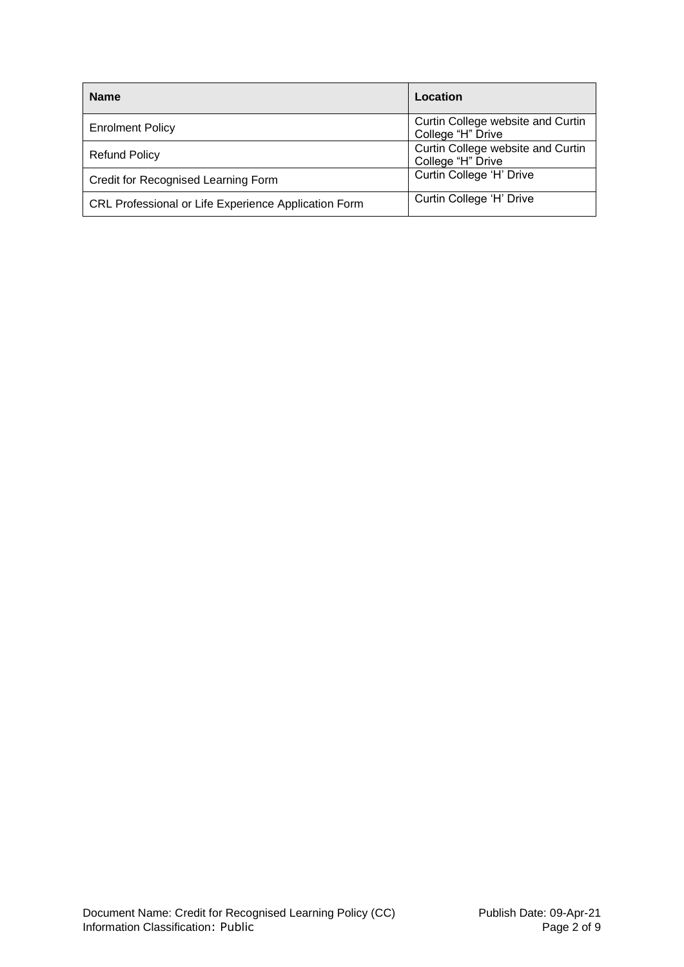| <b>Name</b>                                          | Location                                               |
|------------------------------------------------------|--------------------------------------------------------|
| <b>Enrolment Policy</b>                              | Curtin College website and Curtin<br>College "H" Drive |
| <b>Refund Policy</b>                                 | Curtin College website and Curtin<br>College "H" Drive |
| Credit for Recognised Learning Form                  | Curtin College 'H' Drive                               |
| CRL Professional or Life Experience Application Form | Curtin College 'H' Drive                               |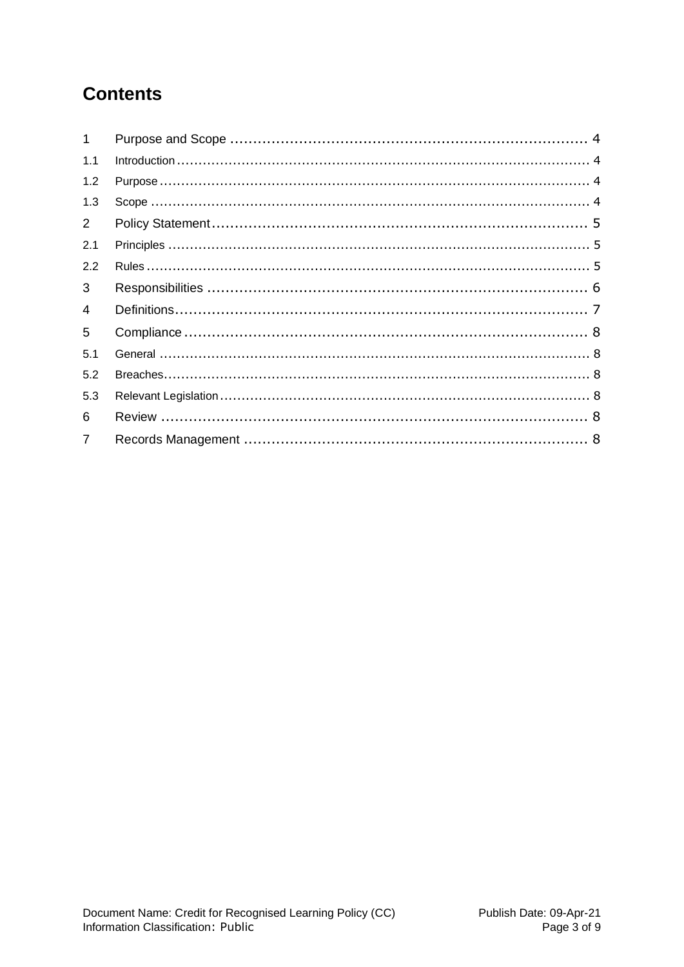# **Contents**

| $\mathbf{1}$   |  |
|----------------|--|
| 1.1            |  |
| 1.2            |  |
| 1.3            |  |
| $\overline{2}$ |  |
| 2.1            |  |
| 2.2            |  |
| 3              |  |
| $\overline{4}$ |  |
| 5              |  |
| 5.1            |  |
| 5.2            |  |
| 5.3            |  |
| 6              |  |
| $\overline{7}$ |  |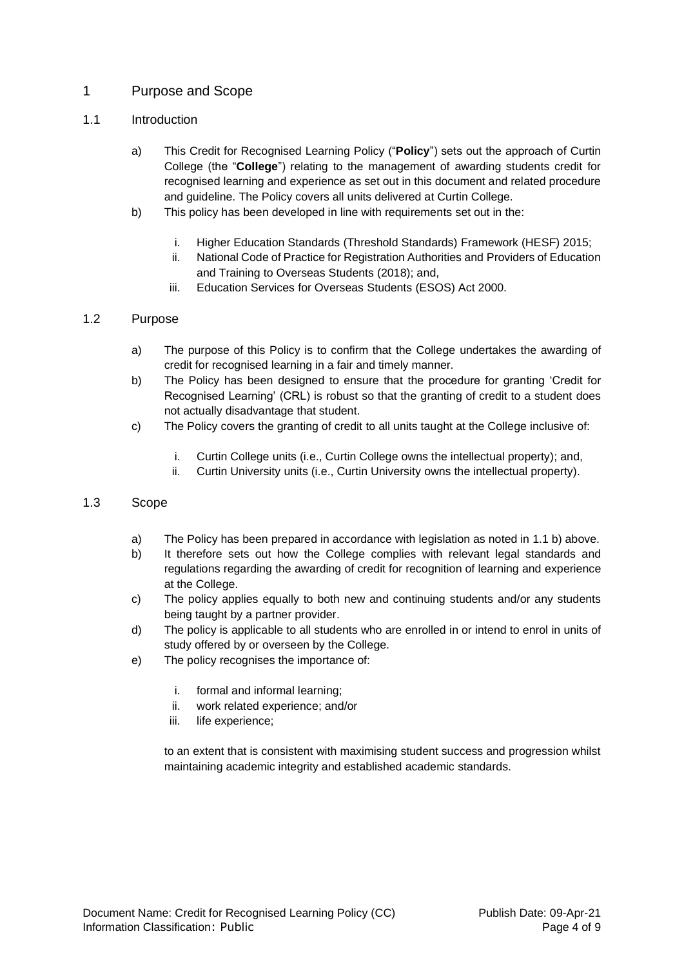# <span id="page-3-0"></span>1 Purpose and Scope

#### <span id="page-3-1"></span>1.1 Introduction

- a) This Credit for Recognised Learning Policy ("**Policy**") sets out the approach of Curtin College (the "**College**") relating to the management of awarding students credit for recognised learning and experience as set out in this document and related procedure and guideline. The Policy covers all units delivered at Curtin College.
- b) This policy has been developed in line with requirements set out in the:
	- i. Higher Education Standards (Threshold Standards) Framework (HESF) 2015;
	- ii. National Code of Practice for Registration Authorities and Providers of Education and Training to Overseas Students (2018); and,
	- iii. Education Services for Overseas Students (ESOS) Act 2000.

#### <span id="page-3-2"></span>1.2 Purpose

- a) The purpose of this Policy is to confirm that the College undertakes the awarding of credit for recognised learning in a fair and timely manner.
- b) The Policy has been designed to ensure that the procedure for granting 'Credit for Recognised Learning' (CRL) is robust so that the granting of credit to a student does not actually disadvantage that student.
- c) The Policy covers the granting of credit to all units taught at the College inclusive of:
	- i. Curtin College units (i.e., Curtin College owns the intellectual property); and,
	- ii. Curtin University units (i.e., Curtin University owns the intellectual property).

#### <span id="page-3-3"></span>1.3 Scope

- a) The Policy has been prepared in accordance with legislation as noted in 1.1 b) above.
- b) It therefore sets out how the College complies with relevant legal standards and regulations regarding the awarding of credit for recognition of learning and experience at the College.
- c) The policy applies equally to both new and continuing students and/or any students being taught by a partner provider.
- d) The policy is applicable to all students who are enrolled in or intend to enrol in units of study offered by or overseen by the College.
- e) The policy recognises the importance of:
	- i. formal and informal learning;
	- ii. work related experience; and/or
	- iii. life experience;

to an extent that is consistent with maximising student success and progression whilst maintaining academic integrity and established academic standards.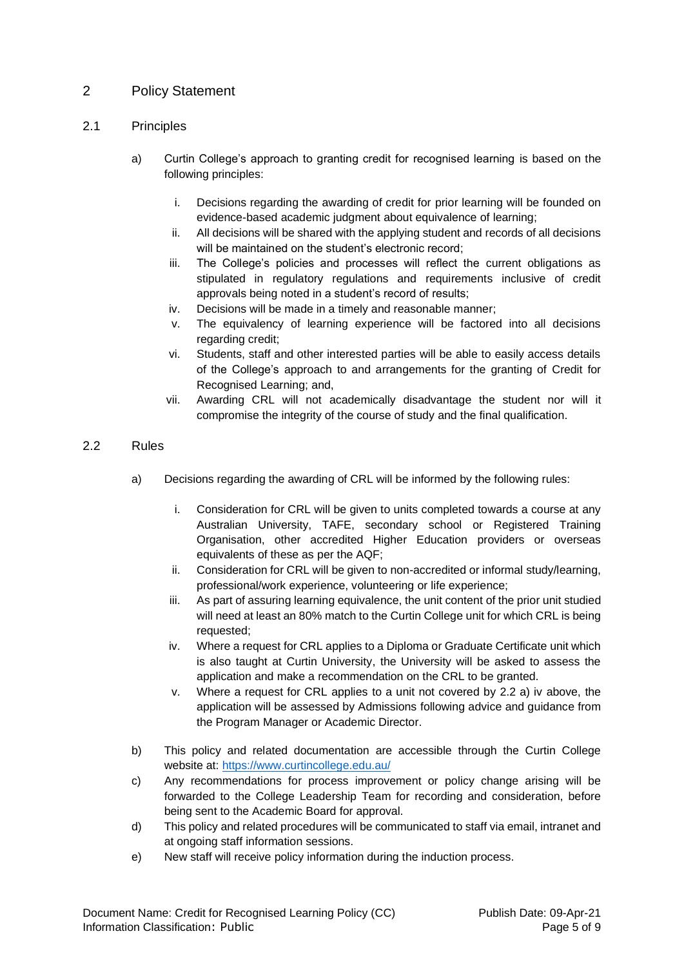# <span id="page-4-0"></span>2 Policy Statement

#### <span id="page-4-1"></span>2.1 Principles

- a) Curtin College's approach to granting credit for recognised learning is based on the following principles:
	- i. Decisions regarding the awarding of credit for prior learning will be founded on evidence-based academic judgment about equivalence of learning;
	- ii. All decisions will be shared with the applying student and records of all decisions will be maintained on the student's electronic record:
	- iii. The College's policies and processes will reflect the current obligations as stipulated in regulatory regulations and requirements inclusive of credit approvals being noted in a student's record of results;
	- iv. Decisions will be made in a timely and reasonable manner;
	- v. The equivalency of learning experience will be factored into all decisions regarding credit;
	- vi. Students, staff and other interested parties will be able to easily access details of the College's approach to and arrangements for the granting of Credit for Recognised Learning; and,
	- vii. Awarding CRL will not academically disadvantage the student nor will it compromise the integrity of the course of study and the final qualification.

#### <span id="page-4-2"></span>2.2 Rules

- a) Decisions regarding the awarding of CRL will be informed by the following rules:
	- i. Consideration for CRL will be given to units completed towards a course at any Australian University, TAFE, secondary school or Registered Training Organisation, other accredited Higher Education providers or overseas equivalents of these as per the AQF;
	- ii. Consideration for CRL will be given to non-accredited or informal study/learning, professional/work experience, volunteering or life experience;
	- iii. As part of assuring learning equivalence, the unit content of the prior unit studied will need at least an 80% match to the Curtin College unit for which CRL is being requested;
	- iv. Where a request for CRL applies to a Diploma or Graduate Certificate unit which is also taught at Curtin University, the University will be asked to assess the application and make a recommendation on the CRL to be granted.
	- v. Where a request for CRL applies to a unit not covered by 2.2 a) iv above, the application will be assessed by Admissions following advice and guidance from the Program Manager or Academic Director.
- b) This policy and related documentation are accessible through the Curtin College website at: <https://www.curtincollege.edu.au/>
- c) Any recommendations for process improvement or policy change arising will be forwarded to the College Leadership Team for recording and consideration, before being sent to the Academic Board for approval.
- d) This policy and related procedures will be communicated to staff via email, intranet and at ongoing staff information sessions.
- e) New staff will receive policy information during the induction process.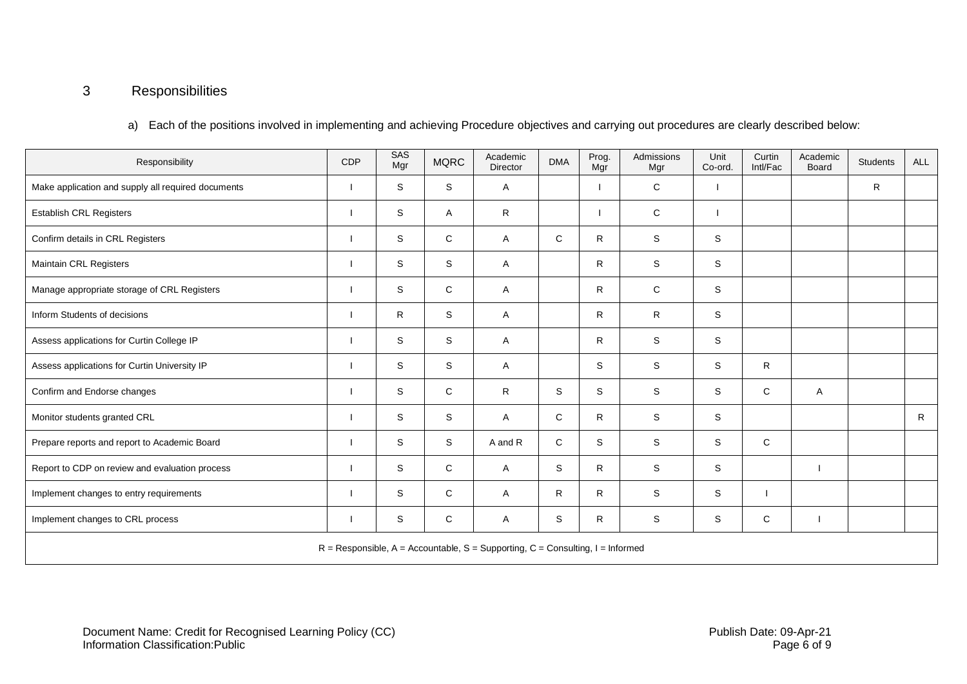# 3 Responsibilities

a) Each of the positions involved in implementing and achieving Procedure objectives and carrying out procedures are clearly described below:

<span id="page-5-0"></span>

| Responsibility                                                                   | CDP | SAS<br>Mgr   | <b>MQRC</b>  | Academic<br>Director | <b>DMA</b> | Prog.<br>Mgr | Admissions<br>Mgr | Unit<br>Co-ord. | Curtin<br>Intl/Fac | Academic<br>Board | <b>Students</b> | <b>ALL</b>   |
|----------------------------------------------------------------------------------|-----|--------------|--------------|----------------------|------------|--------------|-------------------|-----------------|--------------------|-------------------|-----------------|--------------|
| Make application and supply all required documents                               |     | S.           | S            | A                    |            |              | C                 |                 |                    |                   | R               |              |
| <b>Establish CRL Registers</b>                                                   |     | $\mathbb S$  | Α            | R                    |            |              | $\mathbf C$       |                 |                    |                   |                 |              |
| Confirm details in CRL Registers                                                 |     | S            | C            | A                    | C          | R.           | S                 | S               |                    |                   |                 |              |
| Maintain CRL Registers                                                           |     | S            | S            | A                    |            | $\mathsf{R}$ | $\mathbb S$       | $\mathbb S$     |                    |                   |                 |              |
| Manage appropriate storage of CRL Registers                                      |     | S            | C            | A                    |            | $\mathsf{R}$ | C                 | S               |                    |                   |                 |              |
| Inform Students of decisions                                                     |     | $\mathsf{R}$ | S            | A                    |            | R.           | $\mathsf{R}$      | S               |                    |                   |                 |              |
| Assess applications for Curtin College IP                                        |     | S            | S            | A                    |            | $\mathsf{R}$ | S                 | S               |                    |                   |                 |              |
| Assess applications for Curtin University IP                                     |     | S            | S            | A                    |            | S            | S                 | S               | R                  |                   |                 |              |
| Confirm and Endorse changes                                                      |     | S            | C            | R                    | S.         | S            | S                 | S               | C                  | A                 |                 |              |
| Monitor students granted CRL                                                     |     | S            | S            | A                    | C          | R.           | S                 | S               |                    |                   |                 | $\mathsf{R}$ |
| Prepare reports and report to Academic Board                                     |     | S            | S            | A and R              | C          | S            | S                 | S               | C                  |                   |                 |              |
| Report to CDP on review and evaluation process                                   |     | S            | $\mathsf{C}$ | A                    | S          | $\mathsf{R}$ | S                 | S               |                    |                   |                 |              |
| Implement changes to entry requirements                                          |     | S            | C            | A                    | R          | R            | S                 | S               |                    |                   |                 |              |
| Implement changes to CRL process                                                 |     | S            | C            | A                    | S          | R            | S                 | S               | C                  |                   |                 |              |
| $R =$ Responsible, A = Accountable, S = Supporting, C = Consulting, I = Informed |     |              |              |                      |            |              |                   |                 |                    |                   |                 |              |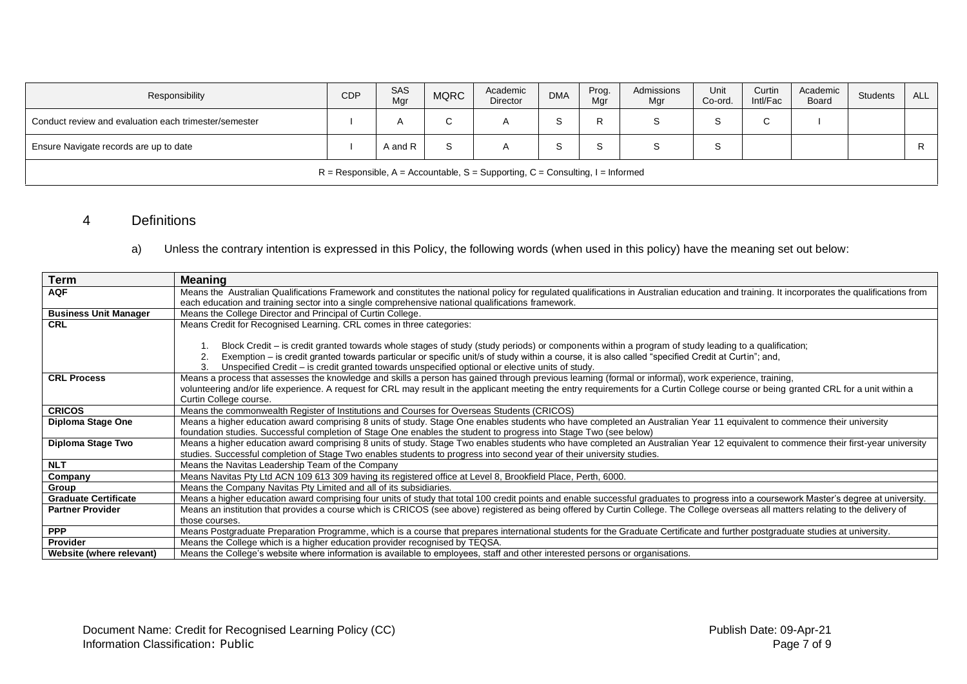| Responsibility                                                                   | <b>CDP</b> | SAS<br>Mgr | <b>MQRC</b> | Academic<br>Director | <b>DMA</b> | Prog.<br>Mgr | Admissions<br>Mgr | Unit<br>Co-ord. | Curtin<br>Intl/Fac | Academic<br>Board | Students | ALL I |
|----------------------------------------------------------------------------------|------------|------------|-------------|----------------------|------------|--------------|-------------------|-----------------|--------------------|-------------------|----------|-------|
| Conduct review and evaluation each trimester/semester                            |            |            | ◡           | A                    | c          |              | S                 | c               | $\sim$<br>◡        |                   |          |       |
| Ensure Navigate records are up to date                                           |            | A and R    |             |                      |            |              | c                 | 5               |                    |                   |          | R     |
| $R =$ Responsible, A = Accountable, S = Supporting, C = Consulting, I = Informed |            |            |             |                      |            |              |                   |                 |                    |                   |          |       |

# 4 Definitions

a) Unless the contrary intention is expressed in this Policy, the following words (when used in this policy) have the meaning set out below:

<span id="page-6-0"></span>

| <b>Term</b>                  | <b>Meaning</b>                                                                                                                                                                               |
|------------------------------|----------------------------------------------------------------------------------------------------------------------------------------------------------------------------------------------|
| <b>AQF</b>                   | Means the Australian Qualifications Framework and constitutes the national policy for regulated qualifications in Australian education and training. It incorporates the qualifications from |
|                              | each education and training sector into a single comprehensive national qualifications framework.                                                                                            |
| <b>Business Unit Manager</b> | Means the College Director and Principal of Curtin College.                                                                                                                                  |
| <b>CRL</b>                   | Means Credit for Recognised Learning. CRL comes in three categories:                                                                                                                         |
|                              |                                                                                                                                                                                              |
|                              | Block Credit – is credit granted towards whole stages of study (study periods) or components within a program of study leading to a qualification;                                           |
|                              | Exemption – is credit granted towards particular or specific unit/s of study within a course, it is also called "specified Credit at Curtin"; and,                                           |
|                              | Unspecified Credit – is credit granted towards unspecified optional or elective units of study.                                                                                              |
| <b>CRL Process</b>           | Means a process that assesses the knowledge and skills a person has gained through previous learning (formal or informal), work experience, training,                                        |
|                              | volunteering and/or life experience. A request for CRL may result in the applicant meeting the entry requirements for a Curtin College course or being granted CRL for a unit within a       |
|                              | Curtin College course.                                                                                                                                                                       |
| <b>CRICOS</b>                | Means the commonwealth Register of Institutions and Courses for Overseas Students (CRICOS)                                                                                                   |
| Diploma Stage One            | Means a higher education award comprising 8 units of study. Stage One enables students who have completed an Australian Year 11 equivalent to commence their university                      |
|                              | foundation studies. Successful completion of Stage One enables the student to progress into Stage Two (see below)                                                                            |
| Diploma Stage Two            | Means a higher education award comprising 8 units of study. Stage Two enables students who have completed an Australian Year 12 equivalent to commence their first-year university           |
|                              | studies. Successful completion of Stage Two enables students to progress into second year of their university studies.                                                                       |
| <b>NLT</b>                   | Means the Navitas Leadership Team of the Company                                                                                                                                             |
| Company                      | Means Navitas Pty Ltd ACN 109 613 309 having its registered office at Level 8, Brookfield Place, Perth, 6000.                                                                                |
| Group                        | Means the Company Navitas Pty Limited and all of its subsidiaries.                                                                                                                           |
| <b>Graduate Certificate</b>  | Means a higher education award comprising four units of study that total 100 credit points and enable successful graduates to progress into a coursework Master's degree at university.      |
| <b>Partner Provider</b>      | Means an institution that provides a course which is CRICOS (see above) registered as being offered by Curtin College. The College overseas all matters relating to the delivery of          |
|                              | those courses.                                                                                                                                                                               |
| <b>PPP</b>                   | Means Postgraduate Preparation Programme, which is a course that prepares international students for the Graduate Certificate and further postgraduate studies at university.                |
| Provider                     | Means the College which is a higher education provider recognised by TEQSA.                                                                                                                  |
| Website (where relevant)     | Means the College's website where information is available to employees, staff and other interested persons or organisations.                                                                |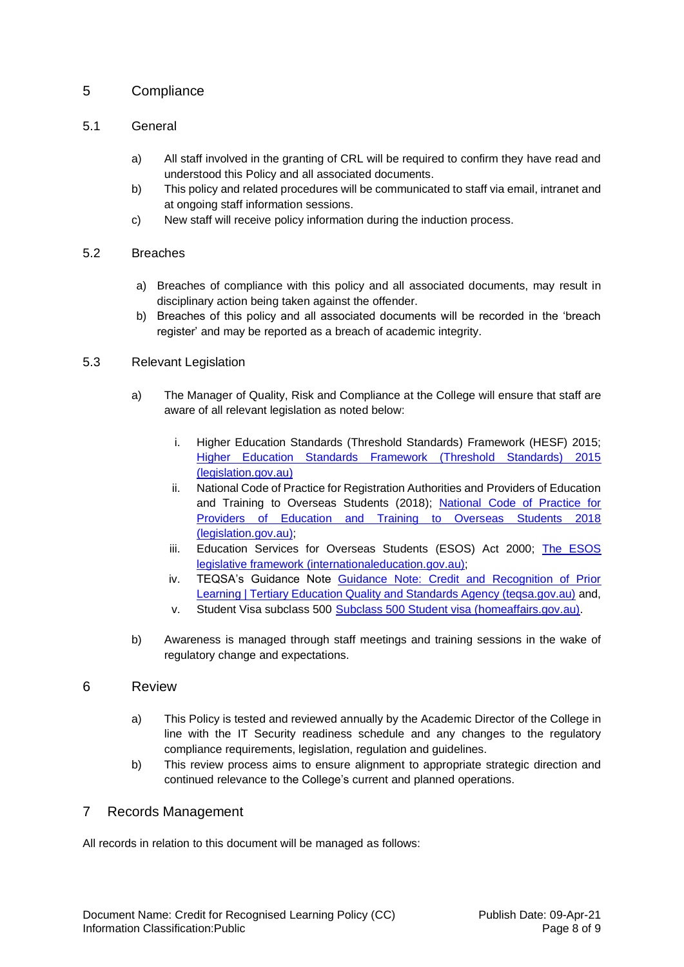# <span id="page-7-0"></span>5 Compliance

#### <span id="page-7-1"></span>5.1 General

- a) All staff involved in the granting of CRL will be required to confirm they have read and understood this Policy and all associated documents.
- b) This policy and related procedures will be communicated to staff via email, intranet and at ongoing staff information sessions.
- c) New staff will receive policy information during the induction process.

#### <span id="page-7-2"></span>5.2 Breaches

- a) Breaches of compliance with this policy and all associated documents, may result in disciplinary action being taken against the offender.
- b) Breaches of this policy and all associated documents will be recorded in the 'breach register' and may be reported as a breach of academic integrity.

#### <span id="page-7-3"></span>5.3 Relevant Legislation

- a) The Manager of Quality, Risk and Compliance at the College will ensure that staff are aware of all relevant legislation as noted below:
	- i. Higher Education Standards (Threshold Standards) Framework (HESF) 2015; [Higher Education Standards Framework \(Threshold Standards\) 2015](https://www.legislation.gov.au/Details/F2015L01639)  [\(legislation.gov.au\)](https://www.legislation.gov.au/Details/F2015L01639)
	- ii. National Code of Practice for Registration Authorities and Providers of Education and Training to Overseas Students (2018); [National Code of Practice for](https://www.legislation.gov.au/Details/F2017L01182)  [Providers of Education and Training to Overseas Students 2018](https://www.legislation.gov.au/Details/F2017L01182)  [\(legislation.gov.au\);](https://www.legislation.gov.au/Details/F2017L01182)
	- iii. Education Services for Overseas Students (ESOS) Act 2000; The ESOS [legislative framework \(internationaleducation.gov.au\);](https://internationaleducation.gov.au/regulatory-information/Education-Services-for-Overseas-Students-ESOS-Legislative-Framework/ESOS-Regulations/Pages/default.aspx)
	- iv. TEQSA's Guidance Note [Guidance Note: Credit and Recognition of Prior](https://www.teqsa.gov.au/for-providers/resources/guidance-note-credit-and-recognition-prior-learning)  [Learning | Tertiary Education Quality and Standards Agency \(teqsa.gov.au\)](https://www.teqsa.gov.au/for-providers/resources/guidance-note-credit-and-recognition-prior-learning) and,
	- v. Student Visa subclass 500 [Subclass 500 Student visa \(homeaffairs.gov.au\).](https://immi.homeaffairs.gov.au/visas/getting-a-visa/visa-listing/student-500)
- b) Awareness is managed through staff meetings and training sessions in the wake of regulatory change and expectations.

#### <span id="page-7-4"></span>6 Review

- a) This Policy is tested and reviewed annually by the Academic Director of the College in line with the IT Security readiness schedule and any changes to the regulatory compliance requirements, legislation, regulation and guidelines.
- b) This review process aims to ensure alignment to appropriate strategic direction and continued relevance to the College's current and planned operations.

# <span id="page-7-5"></span>7 Records Management

All records in relation to this document will be managed as follows: